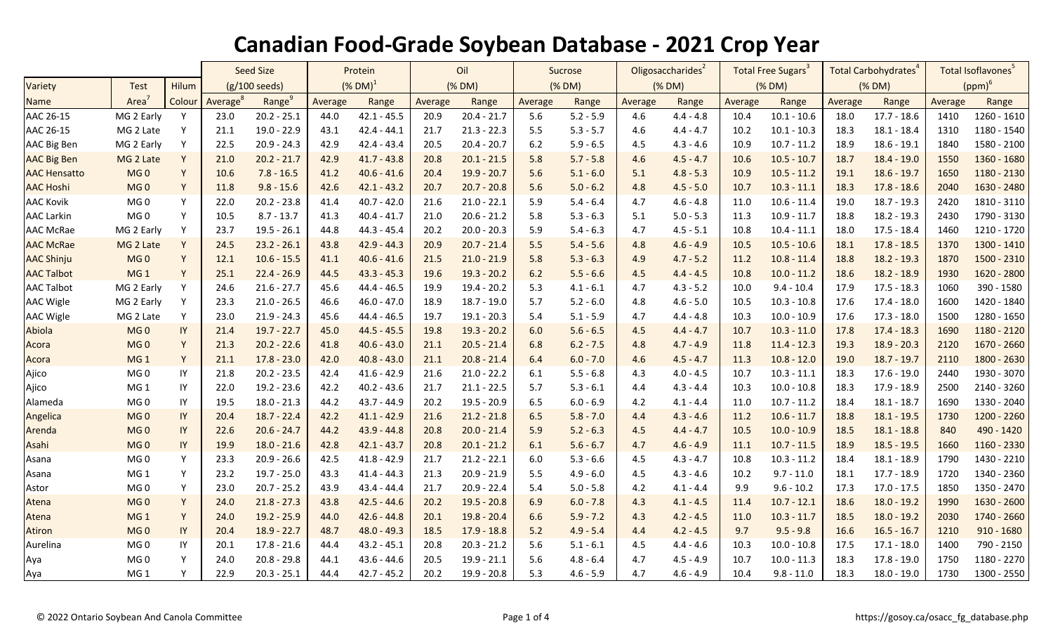|                     |                   |        | <b>Seed Size</b>        |                    | Protein                |               | Oil     |               | Sucrose |             | Oligosaccharides <sup>2</sup> |             | Total Free Sugars <sup>3</sup> |               | Total Carbohydrates <sup>4</sup> |               | Total Isoflavones <sup>5</sup> |               |
|---------------------|-------------------|--------|-------------------------|--------------------|------------------------|---------------|---------|---------------|---------|-------------|-------------------------------|-------------|--------------------------------|---------------|----------------------------------|---------------|--------------------------------|---------------|
| Variety             | <b>Test</b>       | Hilum  | $(g/100 \text{ seeds})$ |                    | $(\%$ DM) <sup>1</sup> |               | (% DM)  |               | (% DM)  |             | (% DM)                        |             | (% DM)                         |               | (% DM)                           |               | $(ppm)^6$                      |               |
| <b>Name</b>         | Area <sup>7</sup> | Colour | Average <sup>8</sup>    | Range <sup>9</sup> | Average                | Range         | Average | Range         | Average | Range       | Average                       | Range       | Average                        | Range         | Average                          | Range         | Average                        | Range         |
| AAC 26-15           | MG 2 Early        | Y      | 23.0                    | $20.2 - 25.1$      | 44.0                   | $42.1 - 45.5$ | 20.9    | $20.4 - 21.7$ | 5.6     | $5.2 - 5.9$ | 4.6                           | $4.4 - 4.8$ | 10.4                           | $10.1 - 10.6$ | 18.0                             | $17.7 - 18.6$ | 1410                           | $1260 - 1610$ |
| AAC 26-15           | MG 2 Late         | Y      | 21.1                    | 19.0 - 22.9        | 43.1                   | $42.4 - 44.1$ | 21.7    | $21.3 - 22.3$ | 5.5     | $5.3 - 5.7$ | 4.6                           | $4.4 - 4.7$ | 10.2                           | $10.1 - 10.3$ | 18.3                             | $18.1 - 18.4$ | 1310                           | 1180 - 1540   |
| AAC Big Ben         | MG 2 Early        | Y      | 22.5                    | $20.9 - 24.3$      | 42.9                   | $42.4 - 43.4$ | 20.5    | $20.4 - 20.7$ | 6.2     | $5.9 - 6.5$ | 4.5                           | $4.3 - 4.6$ | 10.9                           | $10.7 - 11.2$ | 18.9                             | $18.6 - 19.1$ | 1840                           | 1580 - 2100   |
| <b>AAC Big Ben</b>  | MG 2 Late         | Y      | 21.0                    | $20.2 - 21.7$      | 42.9                   | $41.7 - 43.8$ | 20.8    | $20.1 - 21.5$ | 5.8     | $5.7 - 5.8$ | 4.6                           | $4.5 - 4.7$ | 10.6                           | $10.5 - 10.7$ | 18.7                             | $18.4 - 19.0$ | 1550                           | 1360 - 1680   |
| <b>AAC Hensatto</b> | MG <sub>0</sub>   | Y      | 10.6                    | $7.8 - 16.5$       | 41.2                   | $40.6 - 41.6$ | 20.4    | $19.9 - 20.7$ | 5.6     | $5.1 - 6.0$ | 5.1                           | $4.8 - 5.3$ | 10.9                           | $10.5 - 11.2$ | 19.1                             | $18.6 - 19.7$ | 1650                           | 1180 - 2130   |
| <b>AAC Hoshi</b>    | MG <sub>0</sub>   | Y      | 11.8                    | $9.8 - 15.6$       | 42.6                   | $42.1 - 43.2$ | 20.7    | $20.7 - 20.8$ | 5.6     | $5.0 - 6.2$ | 4.8                           | $4.5 - 5.0$ | 10.7                           | $10.3 - 11.1$ | 18.3                             | $17.8 - 18.6$ | 2040                           | 1630 - 2480   |
| <b>AAC Kovik</b>    | MG <sub>0</sub>   | Y      | 22.0                    | $20.2 - 23.8$      | 41.4                   | $40.7 - 42.0$ | 21.6    | $21.0 - 22.1$ | 5.9     | $5.4 - 6.4$ | 4.7                           | $4.6 - 4.8$ | 11.0                           | $10.6 - 11.4$ | 19.0                             | $18.7 - 19.3$ | 2420                           | 1810 - 3110   |
| <b>AAC Larkin</b>   | MG0               | Y      | 10.5                    | $8.7 - 13.7$       | 41.3                   | $40.4 - 41.7$ | 21.0    | $20.6 - 21.2$ | 5.8     | $5.3 - 6.3$ | 5.1                           | $5.0 - 5.3$ | 11.3                           | $10.9 - 11.7$ | 18.8                             | $18.2 - 19.3$ | 2430                           | 1790 - 3130   |
| <b>AAC McRae</b>    | MG 2 Early        | Y      | 23.7                    | $19.5 - 26.1$      | 44.8                   | $44.3 - 45.4$ | 20.2    | $20.0 - 20.3$ | 5.9     | $5.4 - 6.3$ | 4.7                           | $4.5 - 5.1$ | 10.8                           | $10.4 - 11.1$ | 18.0                             | $17.5 - 18.4$ | 1460                           | 1210 - 1720   |
| <b>AAC McRae</b>    | MG 2 Late         | Y      | 24.5                    | $23.2 - 26.1$      | 43.8                   | $42.9 - 44.3$ | 20.9    | $20.7 - 21.4$ | 5.5     | $5.4 - 5.6$ | 4.8                           | $4.6 - 4.9$ | 10.5                           | $10.5 - 10.6$ | 18.1                             | $17.8 - 18.5$ | 1370                           | 1300 - 1410   |
| <b>AAC Shinju</b>   | MG <sub>0</sub>   | Y      | 12.1                    | $10.6 - 15.5$      | 41.1                   | $40.6 - 41.6$ | 21.5    | $21.0 - 21.9$ | 5.8     | $5.3 - 6.3$ | 4.9                           | $4.7 - 5.2$ | 11.2                           | $10.8 - 11.4$ | 18.8                             | $18.2 - 19.3$ | 1870                           | 1500 - 2310   |
| <b>AAC Talbot</b>   | MG <sub>1</sub>   | Y      | 25.1                    | $22.4 - 26.9$      | 44.5                   | $43.3 - 45.3$ | 19.6    | $19.3 - 20.2$ | 6.2     | $5.5 - 6.6$ | 4.5                           | $4.4 - 4.5$ | 10.8                           | $10.0 - 11.2$ | 18.6                             | $18.2 - 18.9$ | 1930                           | 1620 - 2800   |
| <b>AAC Talbot</b>   | MG 2 Early        | Y      | 24.6                    | $21.6 - 27.7$      | 45.6                   | $44.4 - 46.5$ | 19.9    | $19.4 - 20.2$ | 5.3     | $4.1 - 6.1$ | 4.7                           | $4.3 - 5.2$ | 10.0                           | $9.4 - 10.4$  | 17.9                             | $17.5 - 18.3$ | 1060                           | 390 - 1580    |
| <b>AAC Wigle</b>    | MG 2 Early        | Y      | 23.3                    | $21.0 - 26.5$      | 46.6                   | $46.0 - 47.0$ | 18.9    | $18.7 - 19.0$ | 5.7     | $5.2 - 6.0$ | 4.8                           | $4.6 - 5.0$ | 10.5                           | $10.3 - 10.8$ | 17.6                             | $17.4 - 18.0$ | 1600                           | 1420 - 1840   |
| <b>AAC Wigle</b>    | MG 2 Late         | Y      | 23.0                    | $21.9 - 24.3$      | 45.6                   | $44.4 - 46.5$ | 19.7    | $19.1 - 20.3$ | 5.4     | $5.1 - 5.9$ | 4.7                           | $4.4 - 4.8$ | 10.3                           | $10.0 - 10.9$ | 17.6                             | $17.3 - 18.0$ | 1500                           | 1280 - 1650   |
| Abiola              | MG <sub>0</sub>   | IY     | 21.4                    | $19.7 - 22.7$      | 45.0                   | $44.5 - 45.5$ | 19.8    | $19.3 - 20.2$ | 6.0     | $5.6 - 6.5$ | 4.5                           | $4.4 - 4.7$ | 10.7                           | $10.3 - 11.0$ | 17.8                             | $17.4 - 18.3$ | 1690                           | 1180 - 2120   |
| Acora               | MG <sub>0</sub>   | Y      | 21.3                    | $20.2 - 22.6$      | 41.8                   | $40.6 - 43.0$ | 21.1    | $20.5 - 21.4$ | 6.8     | $6.2 - 7.5$ | 4.8                           | $4.7 - 4.9$ | 11.8                           | $11.4 - 12.3$ | 19.3                             | $18.9 - 20.3$ | 2120                           | 1670 - 2660   |
| Acora               | MG <sub>1</sub>   | Y      | 21.1                    | $17.8 - 23.0$      | 42.0                   | $40.8 - 43.0$ | 21.1    | $20.8 - 21.4$ | 6.4     | $6.0 - 7.0$ | 4.6                           | $4.5 - 4.7$ | 11.3                           | $10.8 - 12.0$ | 19.0                             | $18.7 - 19.7$ | 2110                           | 1800 - 2630   |
| Ajico               | MG <sub>0</sub>   | IY     | 21.8                    | $20.2 - 23.5$      | 42.4                   | $41.6 - 42.9$ | 21.6    | $21.0 - 22.2$ | 6.1     | $5.5 - 6.8$ | 4.3                           | $4.0 - 4.5$ | 10.7                           | $10.3 - 11.1$ | 18.3                             | $17.6 - 19.0$ | 2440                           | 1930 - 3070   |
| Ajico               | MG <sub>1</sub>   | IY     | 22.0                    | 19.2 - 23.6        | 42.2                   | $40.2 - 43.6$ | 21.7    | $21.1 - 22.5$ | 5.7     | $5.3 - 6.1$ | 4.4                           | $4.3 - 4.4$ | 10.3                           | $10.0 - 10.8$ | 18.3                             | 17.9 - 18.9   | 2500                           | 2140 - 3260   |
| Alameda             | MG <sub>0</sub>   | IY     | 19.5                    | $18.0 - 21.3$      | 44.2                   | $43.7 - 44.9$ | 20.2    | $19.5 - 20.9$ | 6.5     | $6.0 - 6.9$ | 4.2                           | $4.1 - 4.4$ | 11.0                           | $10.7 - 11.2$ | 18.4                             | $18.1 - 18.7$ | 1690                           | 1330 - 2040   |
| Angelica            | MG <sub>0</sub>   | IY     | 20.4                    | $18.7 - 22.4$      | 42.2                   | $41.1 - 42.9$ | 21.6    | $21.2 - 21.8$ | 6.5     | $5.8 - 7.0$ | 4.4                           | $4.3 - 4.6$ | 11.2                           | $10.6 - 11.7$ | 18.8                             | $18.1 - 19.5$ | 1730                           | 1200 - 2260   |
| Arenda              | MG <sub>0</sub>   | IY     | 22.6                    | $20.6 - 24.7$      | 44.2                   | $43.9 - 44.8$ | 20.8    | $20.0 - 21.4$ | 5.9     | $5.2 - 6.3$ | 4.5                           | $4.4 - 4.7$ | 10.5                           | $10.0 - 10.9$ | 18.5                             | $18.1 - 18.8$ | 840                            | 490 - 1420    |
| Asahi               | MG <sub>0</sub>   | IY     | 19.9                    | $18.0 - 21.6$      | 42.8                   | $42.1 - 43.7$ | 20.8    | $20.1 - 21.2$ | 6.1     | $5.6 - 6.7$ | 4.7                           | $4.6 - 4.9$ | 11.1                           | $10.7 - 11.5$ | 18.9                             | $18.5 - 19.5$ | 1660                           | 1160 - 2330   |
| Asana               | MG <sub>0</sub>   | Y      | 23.3                    | $20.9 - 26.6$      | 42.5                   | $41.8 - 42.9$ | 21.7    | $21.2 - 22.1$ | 6.0     | $5.3 - 6.6$ | 4.5                           | $4.3 - 4.7$ | 10.8                           | $10.3 - 11.2$ | 18.4                             | $18.1 - 18.9$ | 1790                           | 1430 - 2210   |
| Asana               | MG <sub>1</sub>   | Y      | 23.2                    | $19.7 - 25.0$      | 43.3                   | $41.4 - 44.3$ | 21.3    | $20.9 - 21.9$ | 5.5     | $4.9 - 6.0$ | 4.5                           | $4.3 - 4.6$ | 10.2                           | $9.7 - 11.0$  | 18.1                             | $17.7 - 18.9$ | 1720                           | 1340 - 2360   |
| Astor               | MG0               | Y      | 23.0                    | $20.7 - 25.2$      | 43.9                   | $43.4 - 44.4$ | 21.7    | $20.9 - 22.4$ | 5.4     | $5.0 - 5.8$ | 4.2                           | $4.1 - 4.4$ | 9.9                            | $9.6 - 10.2$  | 17.3                             | $17.0 - 17.5$ | 1850                           | 1350 - 2470   |
| Atena               | MG <sub>0</sub>   | Y      | 24.0                    | $21.8 - 27.3$      | 43.8                   | $42.5 - 44.6$ | 20.2    | $19.5 - 20.8$ | 6.9     | $6.0 - 7.8$ | 4.3                           | $4.1 - 4.5$ | 11.4                           | $10.7 - 12.1$ | 18.6                             | $18.0 - 19.2$ | 1990                           | 1630 - 2600   |
| Atena               | MG <sub>1</sub>   | Y      | 24.0                    | $19.2 - 25.9$      | 44.0                   | $42.6 - 44.8$ | 20.1    | $19.8 - 20.4$ | 6.6     | $5.9 - 7.2$ | 4.3                           | $4.2 - 4.5$ | 11.0                           | $10.3 - 11.7$ | 18.5                             | $18.0 - 19.2$ | 2030                           | 1740 - 2660   |
| <b>Atiron</b>       | MG <sub>0</sub>   | IY     | 20.4                    | $18.9 - 22.7$      | 48.7                   | $48.0 - 49.3$ | 18.5    | $17.9 - 18.8$ | 5.2     | $4.9 - 5.4$ | 4.4                           | $4.2 - 4.5$ | 9.7                            | $9.5 - 9.8$   | 16.6                             | $16.5 - 16.7$ | 1210                           | $910 - 1680$  |
| Aurelina            | MG <sub>0</sub>   | IY     | 20.1                    | $17.8 - 21.6$      | 44.4                   | $43.2 - 45.1$ | 20.8    | $20.3 - 21.2$ | 5.6     | $5.1 - 6.1$ | 4.5                           | $4.4 - 4.6$ | 10.3                           | $10.0 - 10.8$ | 17.5                             | $17.1 - 18.0$ | 1400                           | 790 - 2150    |
| Aya                 | MG0               | Y      | 24.0                    | $20.8 - 29.8$      | 44.1                   | $43.6 - 44.6$ | 20.5    | $19.9 - 21.1$ | 5.6     | $4.8 - 6.4$ | 4.7                           | $4.5 - 4.9$ | 10.7                           | $10.0 - 11.3$ | 18.3                             | $17.8 - 19.0$ | 1750                           | 1180 - 2270   |
| Aya                 | MG <sub>1</sub>   | Y      | 22.9                    | $20.3 - 25.1$      | 44.4                   | $42.7 - 45.2$ | 20.2    | $19.9 - 20.8$ | 5.3     | $4.6 - 5.9$ | 4.7                           | $4.6 - 4.9$ | 10.4                           | $9.8 - 11.0$  | 18.3                             | 18.0 - 19.0   | 1730                           | 1300 - 2550   |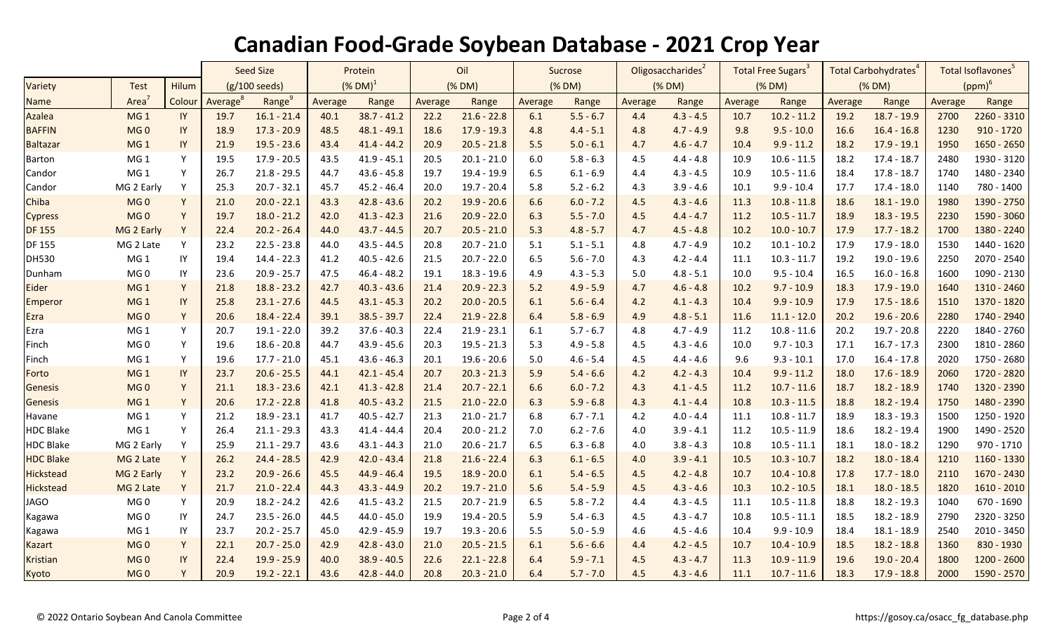|                  |                 |            | <b>Seed Size</b>     |                    | Protein               |               | Oil     |               | Sucrose |             | Oligosaccharides <sup>2</sup> |             | <b>Total Free Sugars<sup>3</sup></b> |               | Total Carbohydrates <sup>4</sup> |               | Total Isoflavones <sup>5</sup> |              |
|------------------|-----------------|------------|----------------------|--------------------|-----------------------|---------------|---------|---------------|---------|-------------|-------------------------------|-------------|--------------------------------------|---------------|----------------------------------|---------------|--------------------------------|--------------|
| Variety          | <b>Test</b>     | Hilum      | (g/100 seeds)        |                    | $(N$ DM) <sup>1</sup> |               | (% DM)  |               | (% DM)  |             | (% DM)                        |             | (% DM)                               |               | (% DM)                           |               | $(ppm)^6$                      |              |
| <b>Name</b>      | Area            | Colour     | Average <sup>8</sup> | Range <sup>9</sup> | Average               | Range         | Average | Range         | Average | Range       | Average                       | Range       | Average                              | Range         | Average                          | Range         | Average                        | Range        |
| Azalea           | MG <sub>1</sub> | IY         | 19.7                 | $16.1 - 21.4$      | 40.1                  | $38.7 - 41.2$ | 22.2    | $21.6 - 22.8$ | 6.1     | $5.5 - 6.7$ | 4.4                           | $4.3 - 4.5$ | 10.7                                 | $10.2 - 11.2$ | 19.2                             | $18.7 - 19.9$ | 2700                           | 2260 - 3310  |
| <b>BAFFIN</b>    | MG <sub>0</sub> | IY         | 18.9                 | $17.3 - 20.9$      | 48.5                  | $48.1 - 49.1$ | 18.6    | $17.9 - 19.3$ | 4.8     | $4.4 - 5.1$ | 4.8                           | $4.7 - 4.9$ | 9.8                                  | $9.5 - 10.0$  | 16.6                             | $16.4 - 16.8$ | 1230                           | $910 - 1720$ |
| <b>Baltazar</b>  | MG <sub>1</sub> | IY         | 21.9                 | $19.5 - 23.6$      | 43.4                  | $41.4 - 44.2$ | 20.9    | $20.5 - 21.8$ | 5.5     | $5.0 - 6.1$ | 4.7                           | $4.6 - 4.7$ | 10.4                                 | $9.9 - 11.2$  | 18.2                             | $17.9 - 19.1$ | 1950                           | 1650 - 2650  |
| <b>Barton</b>    | MG <sub>1</sub> | Y          | 19.5                 | 17.9 - 20.5        | 43.5                  | $41.9 - 45.1$ | 20.5    | $20.1 - 21.0$ | 6.0     | $5.8 - 6.3$ | 4.5                           | $4.4 - 4.8$ | 10.9                                 | $10.6 - 11.5$ | 18.2                             | $17.4 - 18.7$ | 2480                           | 1930 - 3120  |
| Candor           | MG <sub>1</sub> | Y          | 26.7                 | $21.8 - 29.5$      | 44.7                  | $43.6 - 45.8$ | 19.7    | 19.4 - 19.9   | 6.5     | $6.1 - 6.9$ | 4.4                           | $4.3 - 4.5$ | 10.9                                 | $10.5 - 11.6$ | 18.4                             | $17.8 - 18.7$ | 1740                           | 1480 - 2340  |
| Candor           | MG 2 Early      | Y          | 25.3                 | $20.7 - 32.1$      | 45.7                  | $45.2 - 46.4$ | 20.0    | 19.7 - 20.4   | 5.8     | $5.2 - 6.2$ | 4.3                           | $3.9 - 4.6$ | 10.1                                 | $9.9 - 10.4$  | 17.7                             | 17.4 - 18.0   | 1140                           | 780 - 1400   |
| Chiba            | MG <sub>0</sub> | Y          | 21.0                 | $20.0 - 22.1$      | 43.3                  | $42.8 - 43.6$ | 20.2    | $19.9 - 20.6$ | 6.6     | $6.0 - 7.2$ | 4.5                           | $4.3 - 4.6$ | 11.3                                 | $10.8 - 11.8$ | 18.6                             | $18.1 - 19.0$ | 1980                           | 1390 - 2750  |
| <b>Cypress</b>   | MG <sub>0</sub> | Y          | 19.7                 | $18.0 - 21.2$      | 42.0                  | $41.3 - 42.3$ | 21.6    | $20.9 - 22.0$ | 6.3     | $5.5 - 7.0$ | 4.5                           | $4.4 - 4.7$ | 11.2                                 | $10.5 - 11.7$ | 18.9                             | $18.3 - 19.5$ | 2230                           | 1590 - 3060  |
| <b>DF 155</b>    | MG 2 Early      | Y          | 22.4                 | $20.2 - 26.4$      | 44.0                  | $43.7 - 44.5$ | 20.7    | $20.5 - 21.0$ | 5.3     | $4.8 - 5.7$ | 4.7                           | $4.5 - 4.8$ | 10.2                                 | $10.0 - 10.7$ | 17.9                             | $17.7 - 18.2$ | 1700                           | 1380 - 2240  |
| <b>DF 155</b>    | MG 2 Late       | Y          | 23.2                 | $22.5 - 23.8$      | 44.0                  | $43.5 - 44.5$ | 20.8    | $20.7 - 21.0$ | 5.1     | $5.1 - 5.1$ | 4.8                           | $4.7 - 4.9$ | 10.2                                 | $10.1 - 10.2$ | 17.9                             | $17.9 - 18.0$ | 1530                           | 1440 - 1620  |
| <b>DH530</b>     | MG <sub>1</sub> | IY         | 19.4                 | $14.4 - 22.3$      | 41.2                  | $40.5 - 42.6$ | 21.5    | $20.7 - 22.0$ | 6.5     | $5.6 - 7.0$ | 4.3                           | $4.2 - 4.4$ | 11.1                                 | $10.3 - 11.7$ | 19.2                             | 19.0 - 19.6   | 2250                           | 2070 - 2540  |
| Dunham           | MG <sub>0</sub> | $\sf IY$   | 23.6                 | $20.9 - 25.7$      | 47.5                  | $46.4 - 48.2$ | 19.1    | 18.3 - 19.6   | 4.9     | $4.3 - 5.3$ | 5.0                           | $4.8 - 5.1$ | 10.0                                 | $9.5 - 10.4$  | 16.5                             | $16.0 - 16.8$ | 1600                           | 1090 - 2130  |
| <b>Eider</b>     | MG <sub>1</sub> | Y          | 21.8                 | $18.8 - 23.2$      | 42.7                  | $40.3 - 43.6$ | 21.4    | $20.9 - 22.3$ | 5.2     | $4.9 - 5.9$ | 4.7                           | $4.6 - 4.8$ | 10.2                                 | $9.7 - 10.9$  | 18.3                             | $17.9 - 19.0$ | 1640                           | 1310 - 2460  |
| Emperor          | MG <sub>1</sub> | ${\sf IY}$ | 25.8                 | $23.1 - 27.6$      | 44.5                  | $43.1 - 45.3$ | 20.2    | $20.0 - 20.5$ | 6.1     | $5.6 - 6.4$ | 4.2                           | $4.1 - 4.3$ | 10.4                                 | $9.9 - 10.9$  | 17.9                             | $17.5 - 18.6$ | 1510                           | 1370 - 1820  |
| Ezra             | MG <sub>0</sub> | Y          | 20.6                 | $18.4 - 22.4$      | 39.1                  | $38.5 - 39.7$ | 22.4    | $21.9 - 22.8$ | 6.4     | $5.8 - 6.9$ | 4.9                           | $4.8 - 5.1$ | 11.6                                 | $11.1 - 12.0$ | 20.2                             | $19.6 - 20.6$ | 2280                           | 1740 - 2940  |
| Ezra             | MG <sub>1</sub> | Y          | 20.7                 | $19.1 - 22.0$      | 39.2                  | $37.6 - 40.3$ | 22.4    | $21.9 - 23.1$ | 6.1     | $5.7 - 6.7$ | 4.8                           | $4.7 - 4.9$ | 11.2                                 | $10.8 - 11.6$ | 20.2                             | $19.7 - 20.8$ | 2220                           | 1840 - 2760  |
| Finch            | MG <sub>0</sub> | Y          | 19.6                 | $18.6 - 20.8$      | 44.7                  | $43.9 - 45.6$ | 20.3    | $19.5 - 21.3$ | 5.3     | $4.9 - 5.8$ | 4.5                           | $4.3 - 4.6$ | 10.0                                 | $9.7 - 10.3$  | 17.1                             | $16.7 - 17.3$ | 2300                           | 1810 - 2860  |
| Finch            | MG <sub>1</sub> | Y          | 19.6                 | $17.7 - 21.0$      | 45.1                  | $43.6 - 46.3$ | 20.1    | $19.6 - 20.6$ | 5.0     | $4.6 - 5.4$ | 4.5                           | $4.4 - 4.6$ | 9.6                                  | $9.3 - 10.1$  | 17.0                             | $16.4 - 17.8$ | 2020                           | 1750 - 2680  |
| Forto            | MG <sub>1</sub> | ${\sf IY}$ | 23.7                 | $20.6 - 25.5$      | 44.1                  | $42.1 - 45.4$ | 20.7    | $20.3 - 21.3$ | 5.9     | $5.4 - 6.6$ | 4.2                           | $4.2 - 4.3$ | 10.4                                 | $9.9 - 11.2$  | 18.0                             | $17.6 - 18.9$ | 2060                           | 1720 - 2820  |
| <b>Genesis</b>   | MG <sub>0</sub> | Y          | 21.1                 | $18.3 - 23.6$      | 42.1                  | $41.3 - 42.8$ | 21.4    | $20.7 - 22.1$ | 6.6     | $6.0 - 7.2$ | 4.3                           | $4.1 - 4.5$ | 11.2                                 | $10.7 - 11.6$ | 18.7                             | $18.2 - 18.9$ | 1740                           | 1320 - 2390  |
| <b>Genesis</b>   | MG <sub>1</sub> | Y          | 20.6                 | $17.2 - 22.8$      | 41.8                  | $40.5 - 43.2$ | 21.5    | $21.0 - 22.0$ | 6.3     | $5.9 - 6.8$ | 4.3                           | $4.1 - 4.4$ | 10.8                                 | $10.3 - 11.5$ | 18.8                             | $18.2 - 19.4$ | 1750                           | 1480 - 2390  |
| Havane           | MG <sub>1</sub> | Y          | 21.2                 | $18.9 - 23.1$      | 41.7                  | $40.5 - 42.7$ | 21.3    | $21.0 - 21.7$ | 6.8     | $6.7 - 7.1$ | 4.2                           | $4.0 - 4.4$ | 11.1                                 | $10.8 - 11.7$ | 18.9                             | $18.3 - 19.3$ | 1500                           | 1250 - 1920  |
| <b>HDC Blake</b> | $MG_1$          | Y          | 26.4                 | $21.1 - 29.3$      | 43.3                  | $41.4 - 44.4$ | 20.4    | $20.0 - 21.2$ | 7.0     | $6.2 - 7.6$ | 4.0                           | $3.9 - 4.1$ | 11.2                                 | $10.5 - 11.9$ | 18.6                             | 18.2 - 19.4   | 1900                           | 1490 - 2520  |
| <b>HDC Blake</b> | MG 2 Early      | Y          | 25.9                 | $21.1 - 29.7$      | 43.6                  | $43.1 - 44.3$ | 21.0    | $20.6 - 21.7$ | 6.5     | $6.3 - 6.8$ | 4.0                           | $3.8 - 4.3$ | 10.8                                 | $10.5 - 11.1$ | 18.1                             | $18.0 - 18.2$ | 1290                           | $970 - 1710$ |
| <b>HDC Blake</b> | MG 2 Late       | Y          | 26.2                 | $24.4 - 28.5$      | 42.9                  | $42.0 - 43.4$ | 21.8    | $21.6 - 22.4$ | 6.3     | $6.1 - 6.5$ | 4.0                           | $3.9 - 4.1$ | 10.5                                 | $10.3 - 10.7$ | 18.2                             | $18.0 - 18.4$ | 1210                           | 1160 - 1330  |
| <b>Hickstead</b> | MG 2 Early      | Y          | 23.2                 | $20.9 - 26.6$      | 45.5                  | $44.9 - 46.4$ | 19.5    | $18.9 - 20.0$ | 6.1     | $5.4 - 6.5$ | 4.5                           | $4.2 - 4.8$ | 10.7                                 | $10.4 - 10.8$ | 17.8                             | $17.7 - 18.0$ | 2110                           | 1670 - 2430  |
| <b>Hickstead</b> | MG 2 Late       | Y          | 21.7                 | $21.0 - 22.4$      | 44.3                  | $43.3 - 44.9$ | 20.2    | $19.7 - 21.0$ | 5.6     | $5.4 - 5.9$ | 4.5                           | $4.3 - 4.6$ | 10.3                                 | $10.2 - 10.5$ | 18.1                             | $18.0 - 18.5$ | 1820                           | 1610 - 2010  |
| <b>JAGO</b>      | MG <sub>0</sub> | Y          | 20.9                 | $18.2 - 24.2$      | 42.6                  | $41.5 - 43.2$ | 21.5    | $20.7 - 21.9$ | 6.5     | $5.8 - 7.2$ | 4.4                           | $4.3 - 4.5$ | 11.1                                 | $10.5 - 11.8$ | 18.8                             | $18.2 - 19.3$ | 1040                           | 670 - 1690   |
| Kagawa           | MG <sub>0</sub> | $\sf IY$   | 24.7                 | $23.5 - 26.0$      | 44.5                  | $44.0 - 45.0$ | 19.9    | $19.4 - 20.5$ | 5.9     | $5.4 - 6.3$ | 4.5                           | $4.3 - 4.7$ | 10.8                                 | $10.5 - 11.1$ | 18.5                             | 18.2 - 18.9   | 2790                           | 2320 - 3250  |
| Kagawa           | MG <sub>1</sub> | IY         | 23.7                 | $20.2 - 25.7$      | 45.0                  | $42.9 - 45.9$ | 19.7    | $19.3 - 20.6$ | 5.5     | $5.0 - 5.9$ | 4.6                           | $4.5 - 4.6$ | 10.4                                 | $9.9 - 10.9$  | 18.4                             | $18.1 - 18.9$ | 2540                           | 2010 - 3450  |
| <b>Kazart</b>    | MG <sub>0</sub> | Y          | 22.1                 | $20.7 - 25.0$      | 42.9                  | $42.8 - 43.0$ | 21.0    | $20.5 - 21.5$ | 6.1     | $5.6 - 6.6$ | 4.4                           | $4.2 - 4.5$ | 10.7                                 | $10.4 - 10.9$ | 18.5                             | $18.2 - 18.8$ | 1360                           | 830 - 1930   |
| <b>Kristian</b>  | MG <sub>0</sub> | IY         | 22.4                 | $19.9 - 25.9$      | 40.0                  | $38.9 - 40.5$ | 22.6    | $22.1 - 22.8$ | 6.4     | $5.9 - 7.1$ | 4.5                           | $4.3 - 4.7$ | 11.3                                 | $10.9 - 11.9$ | 19.6                             | $19.0 - 20.4$ | 1800                           | 1200 - 2600  |
| Kyoto            | MG <sub>0</sub> | Y          | 20.9                 | $19.2 - 22.1$      | 43.6                  | $42.8 - 44.0$ | 20.8    | $20.3 - 21.0$ | 6.4     | $5.7 - 7.0$ | 4.5                           | $4.3 - 4.6$ | 11.1                                 | $10.7 - 11.6$ | 18.3                             | $17.9 - 18.8$ | 2000                           | 1590 - 2570  |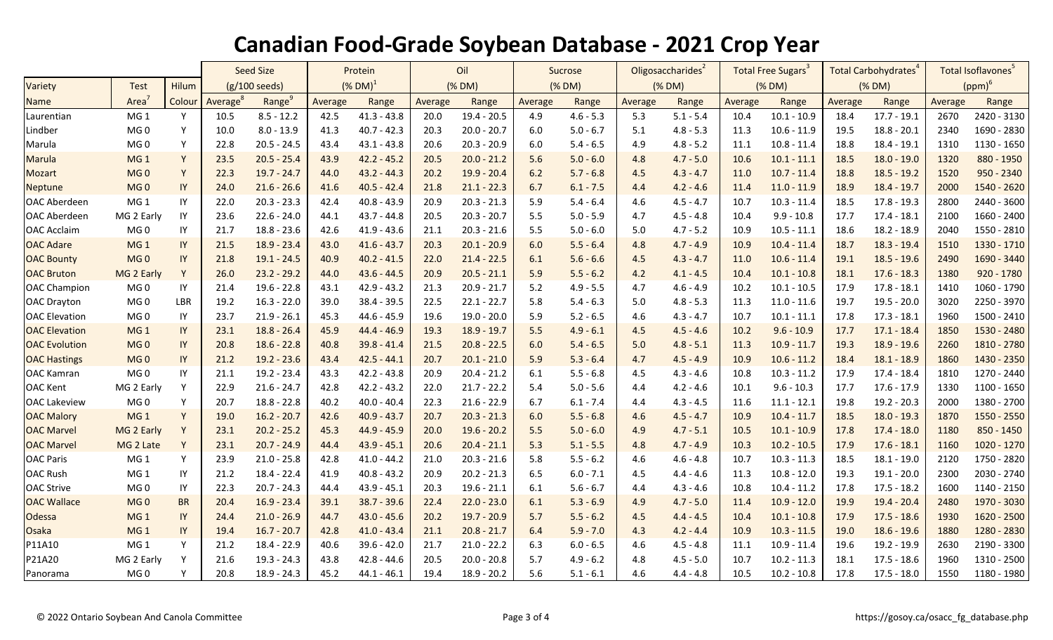|                      |                 |           | <b>Seed Size</b>        |                    | Protein               |               | Oil     |               | Sucrose |             | Oligosaccharides <sup>2</sup> |             | Total Free Sugars <sup>3</sup> |               | Total Carbohydrates <sup>4</sup> |               | Total Isoflavones <sup>5</sup> |             |
|----------------------|-----------------|-----------|-------------------------|--------------------|-----------------------|---------------|---------|---------------|---------|-------------|-------------------------------|-------------|--------------------------------|---------------|----------------------------------|---------------|--------------------------------|-------------|
| Variety              | <b>Test</b>     | Hilum     | $(g/100 \text{ seeds})$ |                    | $(N$ DM) <sup>1</sup> |               | (% DM)  |               | (% DM)  |             | (% DM)                        |             | (% DM)                         |               | (% DM)                           |               | $(ppm)^6$                      |             |
| <b>Name</b>          | Area            | Colour    | Average <sup>8</sup>    | Range <sup>9</sup> | Average               | Range         | Average | Range         | Average | Range       | Average                       | Range       | Average                        | Range         | Average                          | Range         | Average                        | Range       |
| Laurentian           | MG <sub>1</sub> | Y         | 10.5                    | $8.5 - 12.2$       | 42.5                  | $41.3 - 43.8$ | 20.0    | $19.4 - 20.5$ | 4.9     | $4.6 - 5.3$ | 5.3                           | $5.1 - 5.4$ | 10.4                           | $10.1 - 10.9$ | 18.4                             | $17.7 - 19.1$ | 2670                           | 2420 - 3130 |
| Lindber              | MG <sub>0</sub> | Y         | 10.0                    | $8.0 - 13.9$       | 41.3                  | $40.7 - 42.3$ | 20.3    | $20.0 - 20.7$ | 6.0     | $5.0 - 6.7$ | 5.1                           | $4.8 - 5.3$ | 11.3                           | $10.6 - 11.9$ | 19.5                             | $18.8 - 20.1$ | 2340                           | 1690 - 2830 |
| Marula               | MG <sub>0</sub> | Y         | 22.8                    | $20.5 - 24.5$      | 43.4                  | $43.1 - 43.8$ | 20.6    | $20.3 - 20.9$ | 6.0     | $5.4 - 6.5$ | 4.9                           | $4.8 - 5.2$ | 11.1                           | $10.8 - 11.4$ | 18.8                             | $18.4 - 19.1$ | 1310                           | 1130 - 1650 |
| <b>Marula</b>        | MG <sub>1</sub> | Y         | 23.5                    | $20.5 - 25.4$      | 43.9                  | $42.2 - 45.2$ | 20.5    | $20.0 - 21.2$ | 5.6     | $5.0 - 6.0$ | 4.8                           | $4.7 - 5.0$ | 10.6                           | $10.1 - 11.1$ | 18.5                             | $18.0 - 19.0$ | 1320                           | 880 - 1950  |
| <b>Mozart</b>        | MG <sub>0</sub> | Y         | 22.3                    | $19.7 - 24.7$      | 44.0                  | $43.2 - 44.3$ | 20.2    | $19.9 - 20.4$ | 6.2     | $5.7 - 6.8$ | 4.5                           | $4.3 - 4.7$ | 11.0                           | $10.7 - 11.4$ | 18.8                             | $18.5 - 19.2$ | 1520                           | 950 - 2340  |
| Neptune              | MG <sub>0</sub> | IY        | 24.0                    | $21.6 - 26.6$      | 41.6                  | $40.5 - 42.4$ | 21.8    | $21.1 - 22.3$ | 6.7     | $6.1 - 7.5$ | 4.4                           | $4.2 - 4.6$ | 11.4                           | $11.0 - 11.9$ | 18.9                             | $18.4 - 19.7$ | 2000                           | 1540 - 2620 |
| <b>OAC Aberdeen</b>  | MG <sub>1</sub> | IY        | 22.0                    | $20.3 - 23.3$      | 42.4                  | $40.8 - 43.9$ | 20.9    | $20.3 - 21.3$ | 5.9     | $5.4 - 6.4$ | 4.6                           | $4.5 - 4.7$ | 10.7                           | $10.3 - 11.4$ | 18.5                             | $17.8 - 19.3$ | 2800                           | 2440 - 3600 |
| <b>OAC Aberdeen</b>  | MG 2 Early      | IY        | 23.6                    | $22.6 - 24.0$      | 44.1                  | $43.7 - 44.8$ | 20.5    | $20.3 - 20.7$ | 5.5     | $5.0 - 5.9$ | 4.7                           | $4.5 - 4.8$ | 10.4                           | $9.9 - 10.8$  | 17.7                             | $17.4 - 18.1$ | 2100                           | 1660 - 2400 |
| <b>OAC Acclaim</b>   | MG <sub>0</sub> | IY        | 21.7                    | $18.8 - 23.6$      | 42.6                  | $41.9 - 43.6$ | 21.1    | $20.3 - 21.6$ | 5.5     | $5.0 - 6.0$ | 5.0                           | $4.7 - 5.2$ | 10.9                           | $10.5 - 11.1$ | 18.6                             | 18.2 - 18.9   | 2040                           | 1550 - 2810 |
| <b>OAC Adare</b>     | MG <sub>1</sub> | $\sf IY$  | 21.5                    | $18.9 - 23.4$      | 43.0                  | $41.6 - 43.7$ | 20.3    | $20.1 - 20.9$ | 6.0     | $5.5 - 6.4$ | 4.8                           | $4.7 - 4.9$ | 10.9                           | $10.4 - 11.4$ | 18.7                             | $18.3 - 19.4$ | 1510                           | 1330 - 1710 |
| <b>OAC Bounty</b>    | MG <sub>0</sub> | IY        | 21.8                    | $19.1 - 24.5$      | 40.9                  | $40.2 - 41.5$ | 22.0    | $21.4 - 22.5$ | 6.1     | $5.6 - 6.6$ | 4.5                           | $4.3 - 4.7$ | 11.0                           | $10.6 - 11.4$ | 19.1                             | $18.5 - 19.6$ | 2490                           | 1690 - 3440 |
| <b>OAC Bruton</b>    | MG 2 Early      | Y         | 26.0                    | $23.2 - 29.2$      | 44.0                  | $43.6 - 44.5$ | 20.9    | $20.5 - 21.1$ | 5.9     | $5.5 - 6.2$ | 4.2                           | $4.1 - 4.5$ | 10.4                           | $10.1 - 10.8$ | 18.1                             | $17.6 - 18.3$ | 1380                           | 920 - 1780  |
| <b>OAC Champion</b>  | MG <sub>0</sub> | IY        | 21.4                    | $19.6 - 22.8$      | 43.1                  | $42.9 - 43.2$ | 21.3    | $20.9 - 21.7$ | 5.2     | $4.9 - 5.5$ | 4.7                           | $4.6 - 4.9$ | 10.2                           | $10.1 - 10.5$ | 17.9                             | $17.8 - 18.1$ | 1410                           | 1060 - 1790 |
| <b>OAC Drayton</b>   | MG <sub>0</sub> | LBR       | 19.2                    | $16.3 - 22.0$      | 39.0                  | $38.4 - 39.5$ | 22.5    | $22.1 - 22.7$ | 5.8     | $5.4 - 6.3$ | $5.0$                         | $4.8 - 5.3$ | 11.3                           | $11.0 - 11.6$ | 19.7                             | $19.5 - 20.0$ | 3020                           | 2250 - 3970 |
| <b>OAC</b> Elevation | MG 0            | IY        | 23.7                    | $21.9 - 26.1$      | 45.3                  | 44.6 - 45.9   | 19.6    | $19.0 - 20.0$ | 5.9     | $5.2 - 6.5$ | 4.6                           | $4.3 - 4.7$ | 10.7                           | $10.1 - 11.1$ | 17.8                             | $17.3 - 18.1$ | 1960                           | 1500 - 2410 |
| <b>OAC Elevation</b> | MG <sub>1</sub> | $\sf IY$  | 23.1                    | $18.8 - 26.4$      | 45.9                  | 44.4 - 46.9   | 19.3    | $18.9 - 19.7$ | 5.5     | $4.9 - 6.1$ | 4.5                           | $4.5 - 4.6$ | 10.2                           | $9.6 - 10.9$  | 17.7                             | $17.1 - 18.4$ | 1850                           | 1530 - 2480 |
| <b>OAC</b> Evolution | MG <sub>0</sub> | IY        | 20.8                    | $18.6 - 22.8$      | 40.8                  | $39.8 - 41.4$ | 21.5    | $20.8 - 22.5$ | 6.0     | $5.4 - 6.5$ | 5.0                           | $4.8 - 5.1$ | 11.3                           | $10.9 - 11.7$ | 19.3                             | $18.9 - 19.6$ | 2260                           | 1810 - 2780 |
| <b>OAC Hastings</b>  | MG <sub>0</sub> | $\sf{IY}$ | 21.2                    | $19.2 - 23.6$      | 43.4                  | $42.5 - 44.1$ | 20.7    | $20.1 - 21.0$ | 5.9     | $5.3 - 6.4$ | 4.7                           | $4.5 - 4.9$ | 10.9                           | $10.6 - 11.2$ | 18.4                             | $18.1 - 18.9$ | 1860                           | 1430 - 2350 |
| OAC Kamran           | MG <sub>0</sub> | IY        | 21.1                    | $19.2 - 23.4$      | 43.3                  | $42.2 - 43.8$ | 20.9    | $20.4 - 21.2$ | 6.1     | $5.5 - 6.8$ | 4.5                           | $4.3 - 4.6$ | 10.8                           | $10.3 - 11.2$ | 17.9                             | $17.4 - 18.4$ | 1810                           | 1270 - 2440 |
| <b>OAC Kent</b>      | MG 2 Early      | Y         | 22.9                    | $21.6 - 24.7$      | 42.8                  | $42.2 - 43.2$ | 22.0    | $21.7 - 22.2$ | 5.4     | $5.0 - 5.6$ | 4.4                           | $4.2 - 4.6$ | 10.1                           | $9.6 - 10.3$  | 17.7                             | $17.6 - 17.9$ | 1330                           | 1100 - 1650 |
| <b>OAC Lakeview</b>  | MG <sub>0</sub> | Y         | 20.7                    | 18.8 - 22.8        | 40.2                  | $40.0 - 40.4$ | 22.3    | $21.6 - 22.9$ | 6.7     | $6.1 - 7.4$ | 4.4                           | $4.3 - 4.5$ | 11.6                           | $11.1 - 12.1$ | 19.8                             | $19.2 - 20.3$ | 2000                           | 1380 - 2700 |
| <b>OAC Malory</b>    | MG <sub>1</sub> | Y         | 19.0                    | $16.2 - 20.7$      | 42.6                  | $40.9 - 43.7$ | 20.7    | $20.3 - 21.3$ | 6.0     | $5.5 - 6.8$ | 4.6                           | $4.5 - 4.7$ | 10.9                           | $10.4 - 11.7$ | 18.5                             | $18.0 - 19.3$ | 1870                           | 1550 - 2550 |
| <b>OAC Marvel</b>    | MG 2 Early      | Y         | 23.1                    | $20.2 - 25.2$      | 45.3                  | $44.9 - 45.9$ | 20.0    | $19.6 - 20.2$ | 5.5     | $5.0 - 6.0$ | 4.9                           | $4.7 - 5.1$ | 10.5                           | $10.1 - 10.9$ | 17.8                             | $17.4 - 18.0$ | 1180                           | 850 - 1450  |
| <b>OAC Marvel</b>    | MG 2 Late       | Y         | 23.1                    | $20.7 - 24.9$      | 44.4                  | $43.9 - 45.1$ | 20.6    | $20.4 - 21.1$ | 5.3     | $5.1 - 5.5$ | 4.8                           | $4.7 - 4.9$ | 10.3                           | $10.2 - 10.5$ | 17.9                             | $17.6 - 18.1$ | 1160                           | 1020 - 1270 |
| <b>OAC Paris</b>     | MG <sub>1</sub> | Y         | 23.9                    | $21.0 - 25.8$      | 42.8                  | $41.0 - 44.2$ | 21.0    | $20.3 - 21.6$ | 5.8     | $5.5 - 6.2$ | 4.6                           | $4.6 - 4.8$ | 10.7                           | $10.3 - 11.3$ | 18.5                             | $18.1 - 19.0$ | 2120                           | 1750 - 2820 |
| <b>OAC Rush</b>      | MG <sub>1</sub> | IY        | 21.2                    | $18.4 - 22.4$      | 41.9                  | $40.8 - 43.2$ | 20.9    | $20.2 - 21.3$ | 6.5     | $6.0 - 7.1$ | 4.5                           | $4.4 - 4.6$ | 11.3                           | $10.8 - 12.0$ | 19.3                             | $19.1 - 20.0$ | 2300                           | 2030 - 2740 |
| <b>OAC Strive</b>    | MG 0            | IY        | 22.3                    | $20.7 - 24.3$      | 44.4                  | $43.9 - 45.1$ | 20.3    | $19.6 - 21.1$ | 6.1     | $5.6 - 6.7$ | 4.4                           | $4.3 - 4.6$ | 10.8                           | $10.4 - 11.2$ | 17.8                             | $17.5 - 18.2$ | 1600                           | 1140 - 2150 |
| <b>OAC Wallace</b>   | MG <sub>0</sub> | <b>BR</b> | 20.4                    | $16.9 - 23.4$      | 39.1                  | $38.7 - 39.6$ | 22.4    | $22.0 - 23.0$ | 6.1     | $5.3 - 6.9$ | 4.9                           | $4.7 - 5.0$ | 11.4                           | $10.9 - 12.0$ | 19.9                             | $19.4 - 20.4$ | 2480                           | 1970 - 3030 |
| <b>Odessa</b>        | MG <sub>1</sub> | IY        | 24.4                    | $21.0 - 26.9$      | 44.7                  | $43.0 - 45.6$ | 20.2    | $19.7 - 20.9$ | 5.7     | $5.5 - 6.2$ | 4.5                           | $4.4 - 4.5$ | 10.4                           | $10.1 - 10.8$ | 17.9                             | $17.5 - 18.6$ | 1930                           | 1620 - 2500 |
| <b>Osaka</b>         | MG <sub>1</sub> | IY        | 19.4                    | $16.7 - 20.7$      | 42.8                  | $41.0 - 43.4$ | 21.1    | $20.8 - 21.7$ | 6.4     | $5.9 - 7.0$ | 4.3                           | $4.2 - 4.4$ | 10.9                           | $10.3 - 11.5$ | 19.0                             | $18.6 - 19.6$ | 1880                           | 1280 - 2830 |
| P11A10               | MG <sub>1</sub> | Y         | 21.2                    | 18.4 - 22.9        | 40.6                  | $39.6 - 42.0$ | 21.7    | $21.0 - 22.2$ | 6.3     | $6.0 - 6.5$ | 4.6                           | $4.5 - 4.8$ | 11.1                           | $10.9 - 11.4$ | 19.6                             | 19.2 - 19.9   | 2630                           | 2190 - 3300 |
| P21A20               | MG 2 Early      | Y         | 21.6                    | $19.3 - 24.3$      | 43.8                  | $42.8 - 44.6$ | 20.5    | $20.0 - 20.8$ | 5.7     | $4.9 - 6.2$ | 4.8                           | $4.5 - 5.0$ | 10.7                           | $10.2 - 11.3$ | 18.1                             | $17.5 - 18.6$ | 1960                           | 1310 - 2500 |
| Panorama             | MG <sub>0</sub> | Y         | 20.8                    | 18.9 - 24.3        | 45.2                  | $44.1 - 46.1$ | 19.4    | $18.9 - 20.2$ | 5.6     | $5.1 - 6.1$ | 4.6                           | $4.4 - 4.8$ | 10.5                           | $10.2 - 10.8$ | 17.8                             | $17.5 - 18.0$ | 1550                           | 1180 - 1980 |